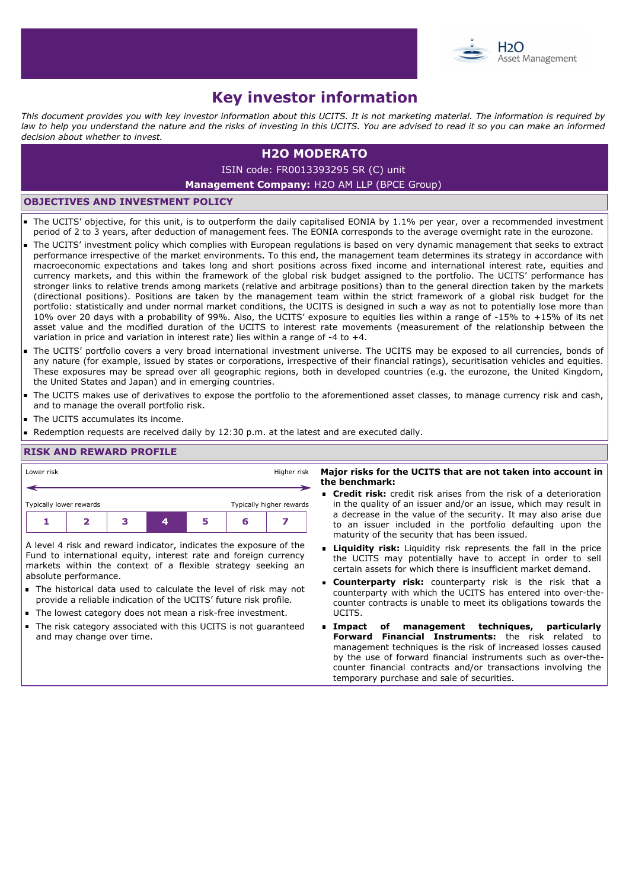

# **Key investor information**

*This document provides you with key investor information about this UCITS. It is not marketing material. The information is required by law to help you understand the nature and the risks of investing in this UCITS. You are advised to read it so you can make an informed decision about whether to invest.*

# **H2O MODERATO**

ISIN code: FR0013393295 SR (C) unit

### **Management Company:** H2O AM LLP (BPCE Group)

## **OBJECTIVES AND INVESTMENT POLICY**

- The UCITS' objective, for this unit, is to outperform the daily capitalised EONIA by 1.1% per year, over a recommended investment period of 2 to 3 years, after deduction of management fees. The EONIA corresponds to the average overnight rate in the eurozone.
- The UCITS' investment policy which complies with European regulations is based on very dynamic management that seeks to extract performance irrespective of the market environments. To this end, the management team determines its strategy in accordance with macroeconomic expectations and takes long and short positions across fixed income and international interest rate, equities and currency markets, and this within the framework of the global risk budget assigned to the portfolio. The UCITS' performance has stronger links to relative trends among markets (relative and arbitrage positions) than to the general direction taken by the markets (directional positions). Positions are taken by the management team within the strict framework of a global risk budget for the portfolio: statistically and under normal market conditions, the UCITS is designed in such a way as not to potentially lose more than 10% over 20 days with a probability of 99%. Also, the UCITS' exposure to equities lies within a range of -15% to +15% of its net asset value and the modified duration of the UCITS to interest rate movements (measurement of the relationship between the variation in price and variation in interest rate) lies within a range of -4 to +4.
- The UCITS' portfolio covers a very broad international investment universe. The UCITS may be exposed to all currencies, bonds of any nature (for example, issued by states or corporations, irrespective of their financial ratings), securitisation vehicles and equities. These exposures may be spread over all geographic regions, both in developed countries (e.g. the eurozone, the United Kingdom, the United States and Japan) and in emerging countries.
- The UCITS makes use of derivatives to expose the portfolio to the aforementioned asset classes, to manage currency risk and cash, and to manage the overall portfolio risk.
- $\blacksquare$ The UCITS accumulates its income.
- Redemption requests are received daily by 12:30 p.m. at the latest and are executed daily.

## **RISK AND REWARD PROFILE**

| Lower risk                                                         |  |  |   |   |   |  | Major risks for the UCITS that are not taken into account in                                                                                                                   |
|--------------------------------------------------------------------|--|--|---|---|---|--|--------------------------------------------------------------------------------------------------------------------------------------------------------------------------------|
| Higher risk                                                        |  |  |   |   |   |  | the benchmark:                                                                                                                                                                 |
| Typically higher rewards                                           |  |  |   |   |   |  | <b>Credit risk:</b> credit risk arises from the risk of a deterioration                                                                                                        |
| Typically lower rewards                                            |  |  |   |   |   |  | in the quality of an issuer and/or an issue, which may result in                                                                                                               |
|                                                                    |  |  | 4 | 5 | 6 |  | a decrease in the value of the security. It may also arise due<br>to an issuer included in the portfolio defaulting upon the<br>maturity of the security that has been issued. |
| A level 4 risk and reward indicator, indicates the exposure of the |  |  |   |   |   |  | <b>Eliquidity risk:</b> Liquidity risk represents the fall in the price                                                                                                        |
| Fund to international equity, interest rate and foreign currency   |  |  |   |   |   |  | the UCITS may potentially have to accept in order to sell                                                                                                                      |
| markets within the context of a flexible strategy seeking an       |  |  |   |   |   |  | certain assets for which there is insufficient market demand.                                                                                                                  |
| absolute performance.                                              |  |  |   |   |   |  | <b>Example:</b> Counterparty risk: counterparty risk is the risk that a                                                                                                        |
| The historical data used to calculate the level of risk may not    |  |  |   |   |   |  | counterparty with which the UCITS has entered into over-the-                                                                                                                   |

- provide a reliable indication of the UCITS' future risk profile.
- The lowest category does not mean a risk-free investment.
- The risk category associated with this UCITS is not guaranteed  $\blacksquare$ and may change over time.
- UCITS. **Impact of management techniques, particularly Forward Financial Instruments:** the risk related to management techniques is the risk of increased losses caused by the use of forward financial instruments such as over-thecounter financial contracts and/or transactions involving the

temporary purchase and sale of securities.

counter contracts is unable to meet its obligations towards the